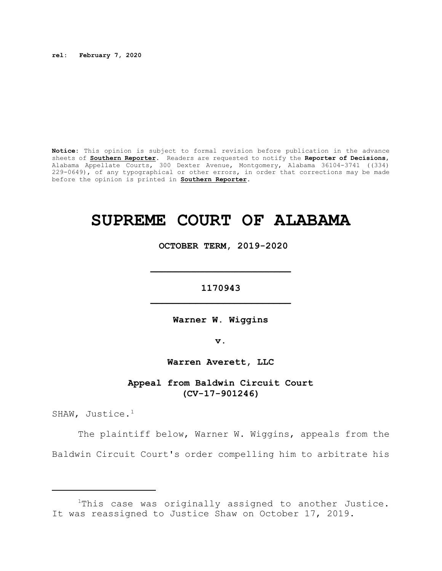**rel: February 7, 2020**

**Notice:** This opinion is subject to formal revision before publication in the advance sheets of **Southern Reporter**. Readers are requested to notify the **Reporter of Decisions**, Alabama Appellate Courts, 300 Dexter Avenue, Montgomery, Alabama 36104-3741 ((334) 229-0649), of any typographical or other errors, in order that corrections may be made before the opinion is printed in **Southern Reporter**.

## **SUPREME COURT OF ALABAMA**

 **OCTOBER TERM, 2019-2020**

**1170943 \_\_\_\_\_\_\_\_\_\_\_\_\_\_\_\_\_\_\_\_\_\_\_\_\_**

**\_\_\_\_\_\_\_\_\_\_\_\_\_\_\_\_\_\_\_\_\_\_\_\_\_**

**Warner W. Wiggins**

**v.**

**Warren Averett, LLC**

**Appeal from Baldwin Circuit Court (CV-17-901246)**

SHAW, Justice.<sup>1</sup>

The plaintiff below, Warner W. Wiggins, appeals from the Baldwin Circuit Court's order compelling him to arbitrate his

<sup>&</sup>lt;sup>1</sup>This case was originally assigned to another Justice. It was reassigned to Justice Shaw on October 17, 2019.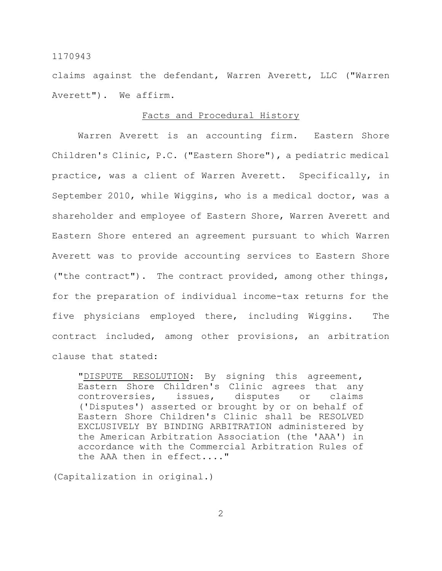claims against the defendant, Warren Averett, LLC ("Warren Averett"). We affirm.

#### Facts and Procedural History

Warren Averett is an accounting firm. Eastern Shore Children's Clinic, P.C. ("Eastern Shore"), a pediatric medical practice, was a client of Warren Averett. Specifically, in September 2010, while Wiggins, who is a medical doctor, was a shareholder and employee of Eastern Shore, Warren Averett and Eastern Shore entered an agreement pursuant to which Warren Averett was to provide accounting services to Eastern Shore ("the contract"). The contract provided, among other things, for the preparation of individual income-tax returns for the five physicians employed there, including Wiggins. The contract included, among other provisions, an arbitration clause that stated:

"DISPUTE RESOLUTION: By signing this agreement, Eastern Shore Children's Clinic agrees that any controversies, issues, disputes or claims ('Disputes') asserted or brought by or on behalf of Eastern Shore Children's Clinic shall be RESOLVED EXCLUSIVELY BY BINDING ARBITRATION administered by the American Arbitration Association (the 'AAA') in accordance with the Commercial Arbitration Rules of the AAA then in effect...."

(Capitalization in original.)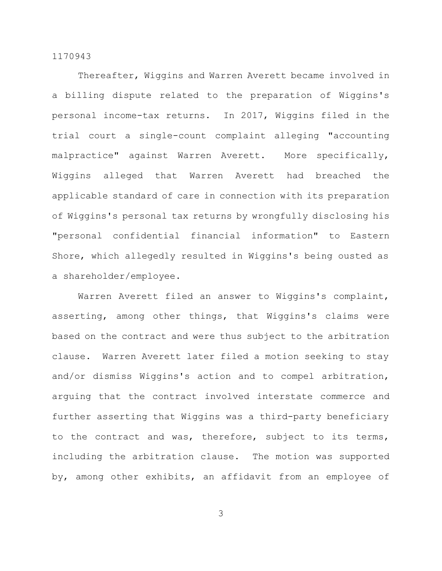Thereafter, Wiggins and Warren Averett became involved in a billing dispute related to the preparation of Wiggins's personal income-tax returns. In 2017, Wiggins filed in the trial court a single-count complaint alleging "accounting malpractice" against Warren Averett. More specifically, Wiggins alleged that Warren Averett had breached the applicable standard of care in connection with its preparation of Wiggins's personal tax returns by wrongfully disclosing his "personal confidential financial information" to Eastern Shore, which allegedly resulted in Wiggins's being ousted as a shareholder/employee.

Warren Averett filed an answer to Wiggins's complaint, asserting, among other things, that Wiggins's claims were based on the contract and were thus subject to the arbitration clause. Warren Averett later filed a motion seeking to stay and/or dismiss Wiggins's action and to compel arbitration, arguing that the contract involved interstate commerce and further asserting that Wiggins was a third-party beneficiary to the contract and was, therefore, subject to its terms, including the arbitration clause. The motion was supported by, among other exhibits, an affidavit from an employee of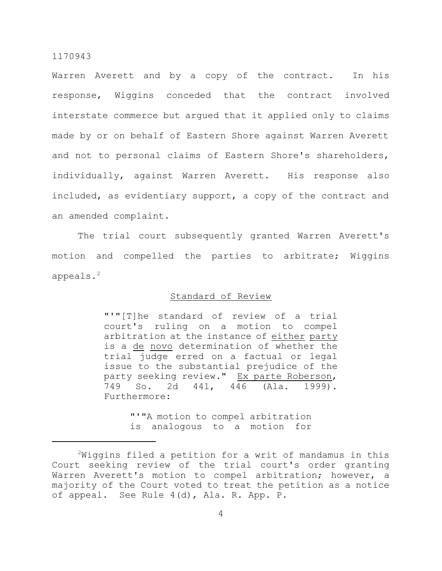Warren Averett and by a copy of the contract. In his response, Wiggins conceded that the contract involved interstate commerce but argued that it applied only to claims made by or on behalf of Eastern Shore against Warren Averett and not to personal claims of Eastern Shore's shareholders, individually, against Warren Averett. His response also included, as evidentiary support, a copy of the contract and an amended complaint.

The trial court subsequently granted Warren Averett's motion and compelled the parties to arbitrate; Wiggins appeals.<sup>2</sup>

## Standard of Review

"'"[T]he standard of review of a trial court's ruling on a motion to compel arbitration at the instance of either party is a de novo determination of whether the trial judge erred on a factual or legal issue to the substantial prejudice of the party seeking review." Ex parte Roberson, 749 So. 2d 441, 446 (Ala. 1999). Furthermore:

> "'"A motion to compel arbitration is analogous to a motion for

 $2$ Wiggins filed a petition for a writ of mandamus in this Court seeking review of the trial court's order granting Warren Averett's motion to compel arbitration; however, a majority of the Court voted to treat the petition as a notice of appeal. See Rule 4(d), Ala. R. App. P.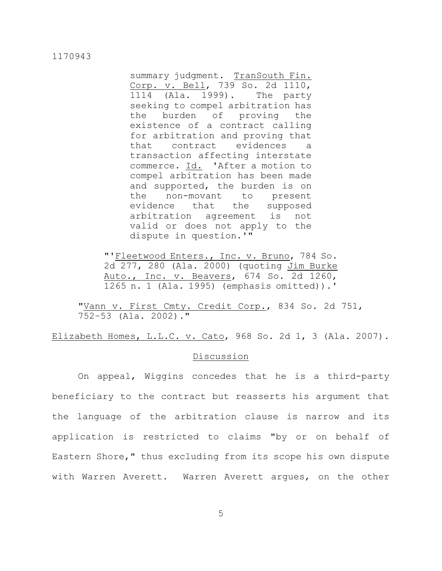summary judgment. TranSouth Fin. Corp. v. Bell, 739 So. 2d 1110, 1114 (Ala. 1999). The party seeking to compel arbitration has the burden of proving the existence of a contract calling for arbitration and proving that that contract evidences a transaction affecting interstate commerce. Id. 'After a motion to compel arbitration has been made and supported, the burden is on the non-movant to present evidence that the supposed arbitration agreement is not valid or does not apply to the dispute in question.'"

"'Fleetwood Enters., Inc. v. Bruno, 784 So. 2d 277, 280 (Ala. 2000) (quoting Jim Burke Auto., Inc. v. Beavers, 674 So. 2d 1260, 1265 n. 1 (Ala. 1995) (emphasis omitted)).'

"Vann v. First Cmty. Credit Corp., 834 So. 2d 751, 752–53 (Ala. 2002)."

Elizabeth Homes, L.L.C. v. Cato, 968 So. 2d 1, 3 (Ala. 2007).

## Discussion

On appeal, Wiggins concedes that he is a third-party beneficiary to the contract but reasserts his argument that the language of the arbitration clause is narrow and its application is restricted to claims "by or on behalf of Eastern Shore," thus excluding from its scope his own dispute with Warren Averett. Warren Averett argues, on the other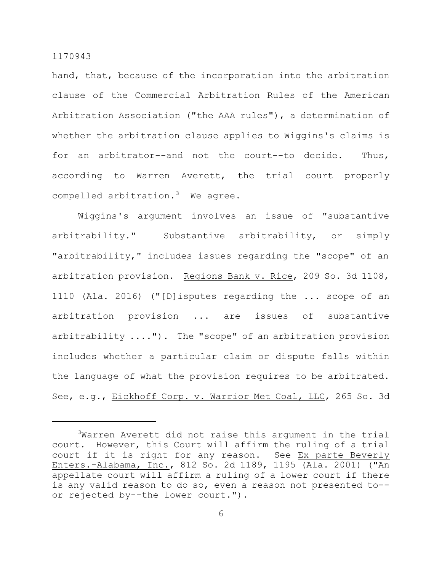hand, that, because of the incorporation into the arbitration clause of the Commercial Arbitration Rules of the American Arbitration Association ("the AAA rules"), a determination of whether the arbitration clause applies to Wiggins's claims is for an arbitrator--and not the court--to decide. Thus, according to Warren Averett, the trial court properly compelled arbitration. $3$  We agree.

Wiggins's argument involves an issue of "substantive arbitrability." Substantive arbitrability, or simply "arbitrability," includes issues regarding the "scope" of an arbitration provision. Regions Bank v. Rice, 209 So. 3d 1108, 1110 (Ala. 2016) ("[D]isputes regarding the ... scope of an arbitration provision ... are issues of substantive arbitrability ...."). The "scope" of an arbitration provision includes whether a particular claim or dispute falls within the language of what the provision requires to be arbitrated. See, e.g., Eickhoff Corp. v. Warrior Met Coal, LLC, 265 So. 3d

<sup>&</sup>lt;sup>3</sup>Warren Averett did not raise this argument in the trial court. However, this Court will affirm the ruling of a trial court if it is right for any reason. See Ex parte Beverly Enters.-Alabama, Inc., 812 So. 2d 1189, 1195 (Ala. 2001) ("An appellate court will affirm a ruling of a lower court if there is any valid reason to do so, even a reason not presented to- or rejected by--the lower court.").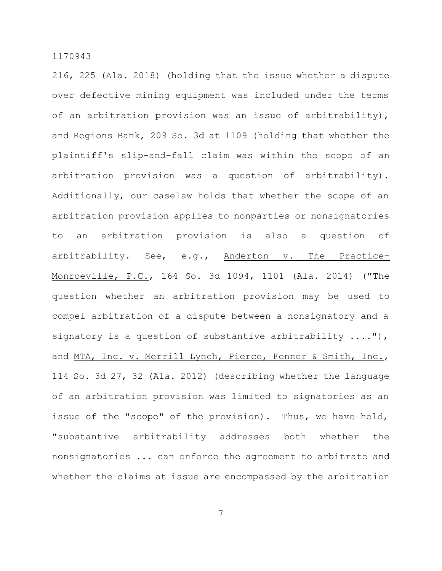216, 225 (Ala. 2018) (holding that the issue whether a dispute over defective mining equipment was included under the terms of an arbitration provision was an issue of arbitrability), and Regions Bank, 209 So. 3d at 1109 (holding that whether the plaintiff's slip-and-fall claim was within the scope of an arbitration provision was a question of arbitrability). Additionally, our caselaw holds that whether the scope of an arbitration provision applies to nonparties or nonsignatories to an arbitration provision is also a question of arbitrability. See, e.g., Anderton v. The Practice-Monroeville, P.C., 164 So. 3d 1094, 1101 (Ala. 2014) ("The question whether an arbitration provision may be used to compel arbitration of a dispute between a nonsignatory and a signatory is a question of substantive arbitrability ...."), and MTA, Inc. v. Merrill Lynch, Pierce, Fenner & Smith, Inc., 114 So. 3d 27, 32 (Ala. 2012) (describing whether the language of an arbitration provision was limited to signatories as an issue of the "scope" of the provision). Thus, we have held, "substantive arbitrability addresses both whether the nonsignatories ... can enforce the agreement to arbitrate and whether the claims at issue are encompassed by the arbitration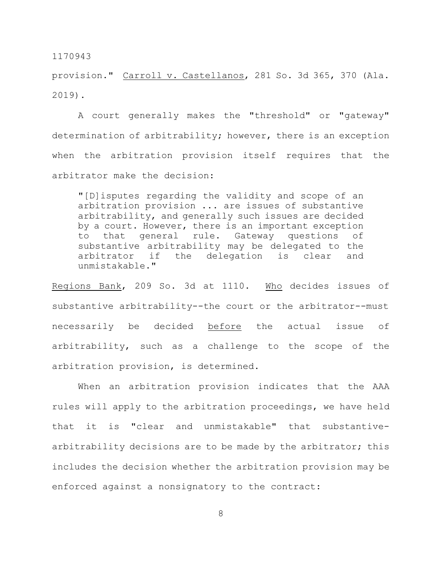provision." Carroll v. Castellanos, 281 So. 3d 365, 370 (Ala. 2019).

A court generally makes the "threshold" or "gateway" determination of arbitrability; however, there is an exception when the arbitration provision itself requires that the arbitrator make the decision:

"[D]isputes regarding the validity and scope of an arbitration provision ... are issues of substantive arbitrability, and generally such issues are decided by a court. However, there is an important exception to that general rule. Gateway questions of substantive arbitrability may be delegated to the arbitrator if the delegation is clear and unmistakable."

Regions Bank, 209 So. 3d at 1110. Who decides issues of substantive arbitrability--the court or the arbitrator--must necessarily be decided before the actual issue of arbitrability, such as a challenge to the scope of the arbitration provision, is determined.

When an arbitration provision indicates that the AAA rules will apply to the arbitration proceedings, we have held that it is "clear and unmistakable" that substantivearbitrability decisions are to be made by the arbitrator; this includes the decision whether the arbitration provision may be enforced against a nonsignatory to the contract: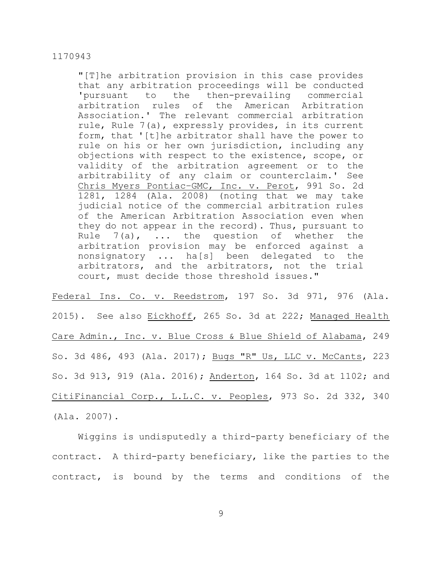"[T]he arbitration provision in this case provides that any arbitration proceedings will be conducted 'pursuant to the then-prevailing commercial arbitration rules of the American Arbitration Association.' The relevant commercial arbitration rule, Rule 7(a), expressly provides, in its current form, that '[t]he arbitrator shall have the power to rule on his or her own jurisdiction, including any objections with respect to the existence, scope, or validity of the arbitration agreement or to the arbitrability of any claim or counterclaim.' See Chris Myers Pontiac–GMC, Inc. v. Perot, 991 So. 2d 1281, 1284 (Ala. 2008) (noting that we may take judicial notice of the commercial arbitration rules of the American Arbitration Association even when they do not appear in the record). Thus, pursuant to Rule  $7(a)$ , ... the question of whether the arbitration provision may be enforced against a nonsignatory ... ha[s] been delegated to the arbitrators, and the arbitrators, not the trial court, must decide those threshold issues."

Federal Ins. Co. v. Reedstrom, 197 So. 3d 971, 976 (Ala. 2015). See also Eickhoff, 265 So. 3d at 222; Managed Health Care Admin., Inc. v. Blue Cross & Blue Shield of Alabama, 249 So. 3d 486, 493 (Ala. 2017); Bugs "R" Us, LLC v. McCants, 223 So. 3d 913, 919 (Ala. 2016); Anderton, 164 So. 3d at 1102; and CitiFinancial Corp., L.L.C. v. Peoples, 973 So. 2d 332, 340 (Ala. 2007).

Wiggins is undisputedly a third-party beneficiary of the contract. A third-party beneficiary, like the parties to the contract, is bound by the terms and conditions of the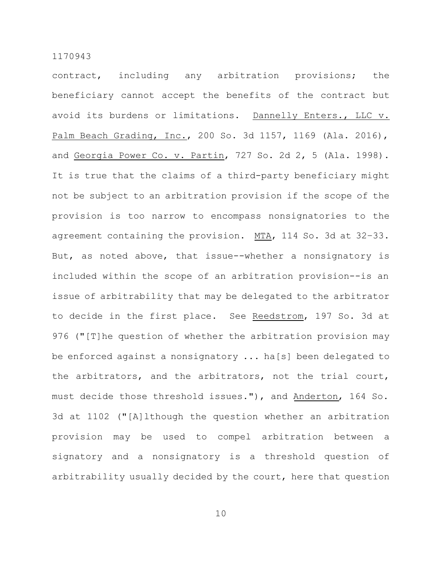contract, including any arbitration provisions; the beneficiary cannot accept the benefits of the contract but avoid its burdens or limitations. Dannelly Enters., LLC v. Palm Beach Grading, Inc., 200 So. 3d 1157, 1169 (Ala. 2016), and Georgia Power Co. v. Partin, 727 So. 2d 2, 5 (Ala. 1998). It is true that the claims of a third-party beneficiary might not be subject to an arbitration provision if the scope of the provision is too narrow to encompass nonsignatories to the agreement containing the provision. MTA, 114 So. 3d at 32–33. But, as noted above, that issue--whether a nonsignatory is included within the scope of an arbitration provision--is an issue of arbitrability that may be delegated to the arbitrator to decide in the first place. See Reedstrom, 197 So. 3d at 976 ("[T]he question of whether the arbitration provision may be enforced against a nonsignatory ... ha[s] been delegated to the arbitrators, and the arbitrators, not the trial court, must decide those threshold issues."), and Anderton, 164 So. 3d at 1102 ("[A]lthough the question whether an arbitration provision may be used to compel arbitration between a signatory and a nonsignatory is a threshold question of arbitrability usually decided by the court, here that question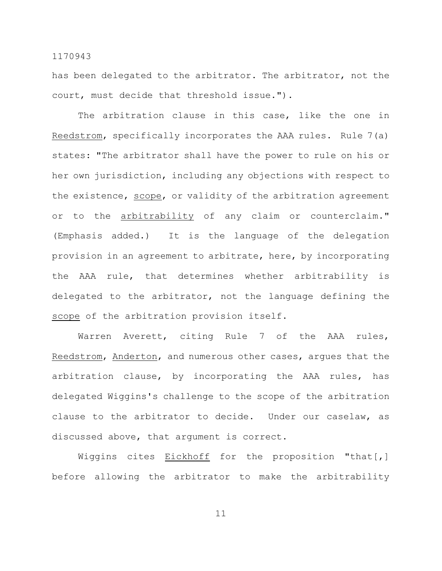has been delegated to the arbitrator. The arbitrator, not the court, must decide that threshold issue.").

The arbitration clause in this case, like the one in Reedstrom, specifically incorporates the AAA rules. Rule 7(a) states: "The arbitrator shall have the power to rule on his or her own jurisdiction, including any objections with respect to the existence, scope, or validity of the arbitration agreement or to the arbitrability of any claim or counterclaim." (Emphasis added.) It is the language of the delegation provision in an agreement to arbitrate, here, by incorporating the AAA rule, that determines whether arbitrability is delegated to the arbitrator, not the language defining the scope of the arbitration provision itself.

Warren Averett, citing Rule 7 of the AAA rules, Reedstrom, Anderton, and numerous other cases, argues that the arbitration clause, by incorporating the AAA rules, has delegated Wiggins's challenge to the scope of the arbitration clause to the arbitrator to decide. Under our caselaw, as discussed above, that argument is correct.

Wiggins cites Eickhoff for the proposition "that[,] before allowing the arbitrator to make the arbitrability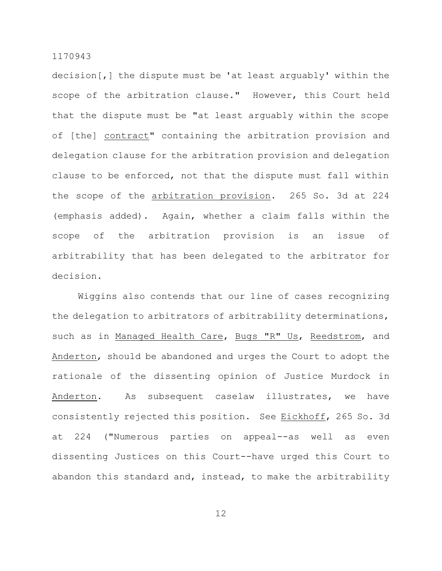decision[,] the dispute must be 'at least arguably' within the scope of the arbitration clause." However, this Court held that the dispute must be "at least arguably within the scope of [the] contract" containing the arbitration provision and delegation clause for the arbitration provision and delegation clause to be enforced, not that the dispute must fall within the scope of the arbitration provision. 265 So. 3d at 224 (emphasis added). Again, whether a claim falls within the scope of the arbitration provision is an issue of arbitrability that has been delegated to the arbitrator for decision.

Wiggins also contends that our line of cases recognizing the delegation to arbitrators of arbitrability determinations, such as in Managed Health Care, Bugs "R" Us, Reedstrom, and Anderton, should be abandoned and urges the Court to adopt the rationale of the dissenting opinion of Justice Murdock in Anderton. As subsequent caselaw illustrates, we have consistently rejected this position. See Eickhoff, 265 So. 3d at 224 ("Numerous parties on appeal--as well as even dissenting Justices on this Court--have urged this Court to abandon this standard and, instead, to make the arbitrability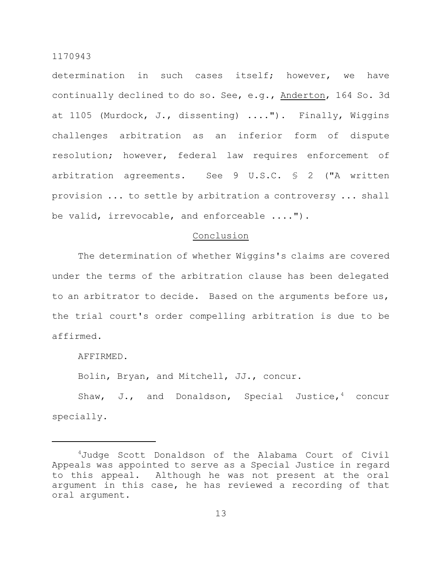determination in such cases itself; however, we have continually declined to do so. See, e.g., Anderton, 164 So. 3d at 1105 (Murdock, J., dissenting) ...."). Finally, Wiggins challenges arbitration as an inferior form of dispute resolution; however, federal law requires enforcement of arbitration agreements. See 9 U.S.C. § 2 ("A written provision ... to settle by arbitration a controversy ... shall be valid, irrevocable, and enforceable ....").

#### Conclusion

The determination of whether Wiggins's claims are covered under the terms of the arbitration clause has been delegated to an arbitrator to decide. Based on the arguments before us, the trial court's order compelling arbitration is due to be affirmed.

AFFIRMED.

Bolin, Bryan, and Mitchell, JJ., concur.

Shaw, J., and Donaldson, Special Justice,  $4$  concur specially.

<sup>4</sup>Judge Scott Donaldson of the Alabama Court of Civil Appeals was appointed to serve as a Special Justice in regard to this appeal. Although he was not present at the oral argument in this case, he has reviewed a recording of that oral argument.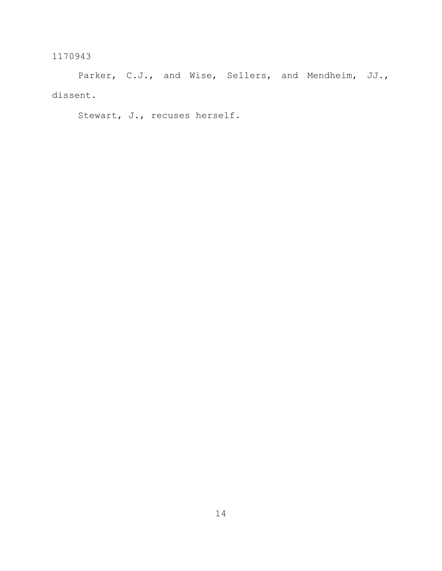Parker, C.J., and Wise, Sellers, and Mendheim, JJ., dissent.

Stewart, J., recuses herself.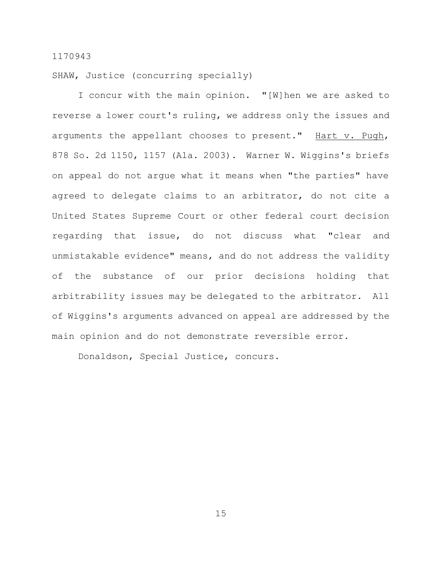SHAW, Justice (concurring specially)

I concur with the main opinion. "[W]hen we are asked to reverse a lower court's ruling, we address only the issues and arguments the appellant chooses to present." Hart v. Pugh, 878 So. 2d 1150, 1157 (Ala. 2003). Warner W. Wiggins's briefs on appeal do not argue what it means when "the parties" have agreed to delegate claims to an arbitrator, do not cite a United States Supreme Court or other federal court decision regarding that issue, do not discuss what "clear and unmistakable evidence" means, and do not address the validity of the substance of our prior decisions holding that arbitrability issues may be delegated to the arbitrator. All of Wiggins's arguments advanced on appeal are addressed by the main opinion and do not demonstrate reversible error.

Donaldson, Special Justice, concurs.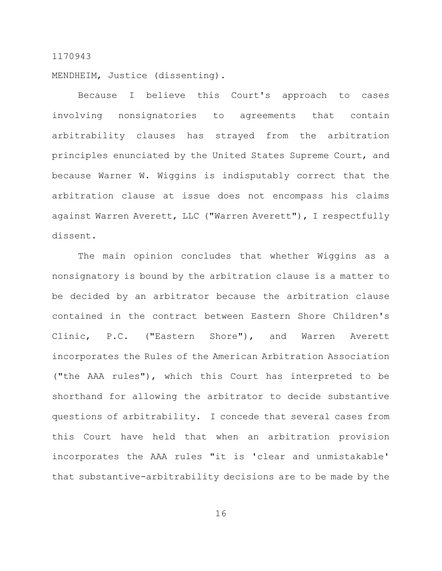MENDHEIM, Justice (dissenting).

Because I believe this Court's approach to cases involving nonsignatories to agreements that contain arbitrability clauses has strayed from the arbitration principles enunciated by the United States Supreme Court, and because Warner W. Wiggins is indisputably correct that the arbitration clause at issue does not encompass his claims against Warren Averett, LLC ("Warren Averett"), I respectfully dissent.

The main opinion concludes that whether Wiggins as a nonsignatory is bound by the arbitration clause is a matter to be decided by an arbitrator because the arbitration clause contained in the contract between Eastern Shore Children's Clinic, P.C. ("Eastern Shore"), and Warren Averett incorporates the Rules of the American Arbitration Association ("the AAA rules"), which this Court has interpreted to be shorthand for allowing the arbitrator to decide substantive questions of arbitrability. I concede that several cases from this Court have held that when an arbitration provision incorporates the AAA rules "it is 'clear and unmistakable' that substantive-arbitrability decisions are to be made by the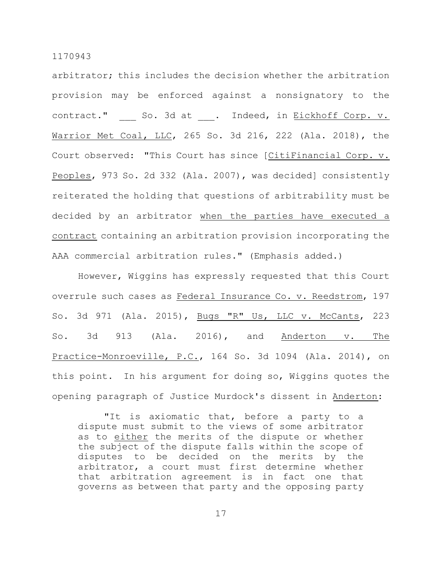arbitrator; this includes the decision whether the arbitration provision may be enforced against a nonsignatory to the contract." So. 3d at . Indeed, in Eickhoff Corp. v. Warrior Met Coal, LLC, 265 So. 3d 216, 222 (Ala. 2018), the Court observed: "This Court has since [CitiFinancial Corp. v. Peoples, 973 So. 2d 332 (Ala. 2007), was decided] consistently reiterated the holding that questions of arbitrability must be decided by an arbitrator when the parties have executed a contract containing an arbitration provision incorporating the AAA commercial arbitration rules." (Emphasis added.)

However, Wiggins has expressly requested that this Court overrule such cases as Federal Insurance Co. v. Reedstrom, 197 So. 3d 971 (Ala. 2015), Bugs "R" Us, LLC v. McCants, 223 So. 3d 913 (Ala. 2016), and Anderton v. The Practice-Monroeville, P.C., 164 So. 3d 1094 (Ala. 2014), on this point. In his argument for doing so, Wiggins quotes the opening paragraph of Justice Murdock's dissent in Anderton:

"It is axiomatic that, before a party to a dispute must submit to the views of some arbitrator as to either the merits of the dispute or whether the subject of the dispute falls within the scope of disputes to be decided on the merits by the arbitrator, a court must first determine whether that arbitration agreement is in fact one that governs as between that party and the opposing party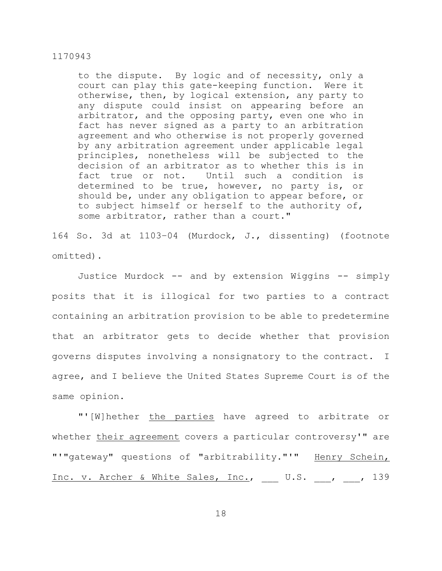to the dispute. By logic and of necessity, only a court can play this gate-keeping function. Were it otherwise, then, by logical extension, any party to any dispute could insist on appearing before an arbitrator, and the opposing party, even one who in fact has never signed as a party to an arbitration agreement and who otherwise is not properly governed by any arbitration agreement under applicable legal principles, nonetheless will be subjected to the decision of an arbitrator as to whether this is in fact true or not. Until such a condition is determined to be true, however, no party is, or should be, under any obligation to appear before, or to subject himself or herself to the authority of, some arbitrator, rather than a court."

164 So. 3d at 1103–04 (Murdock, J., dissenting) (footnote omitted).

Justice Murdock -- and by extension Wiggins -- simply posits that it is illogical for two parties to a contract containing an arbitration provision to be able to predetermine that an arbitrator gets to decide whether that provision governs disputes involving a nonsignatory to the contract. I agree, and I believe the United States Supreme Court is of the same opinion.

"'[W]hether the parties have agreed to arbitrate or whether their agreement covers a particular controversy'" are "'"gateway" questions of "arbitrability."'" Henry Schein, Inc. v. Archer & White Sales, Inc., U.S. , , 139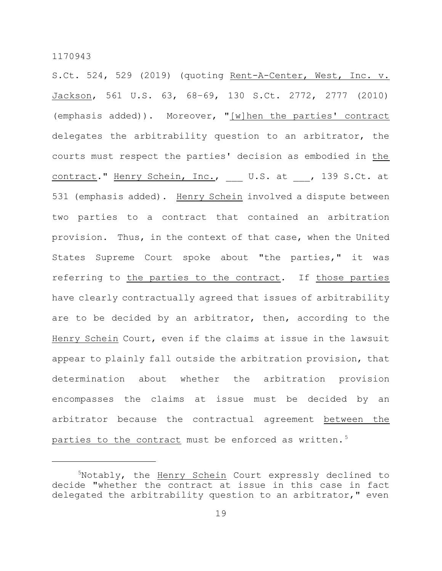S.Ct. 524, 529 (2019) (quoting Rent-A-Center, West, Inc. v. Jackson, 561 U.S. 63, 68–69, 130 S.Ct. 2772, 2777 (2010) (emphasis added)). Moreover, "[w]hen the parties' contract delegates the arbitrability question to an arbitrator, the courts must respect the parties' decision as embodied in the contract." Henry Schein, Inc., U.S. at , 139 S.Ct. at 531 (emphasis added). Henry Schein involved a dispute between two parties to a contract that contained an arbitration provision. Thus, in the context of that case, when the United States Supreme Court spoke about "the parties," it was referring to the parties to the contract. If those parties have clearly contractually agreed that issues of arbitrability are to be decided by an arbitrator, then, according to the Henry Schein Court, even if the claims at issue in the lawsuit appear to plainly fall outside the arbitration provision, that determination about whether the arbitration provision encompasses the claims at issue must be decided by an arbitrator because the contractual agreement between the parties to the contract must be enforced as written.<sup>5</sup>

<sup>&</sup>lt;sup>5</sup>Notably, the Henry Schein Court expressly declined to decide "whether the contract at issue in this case in fact delegated the arbitrability question to an arbitrator," even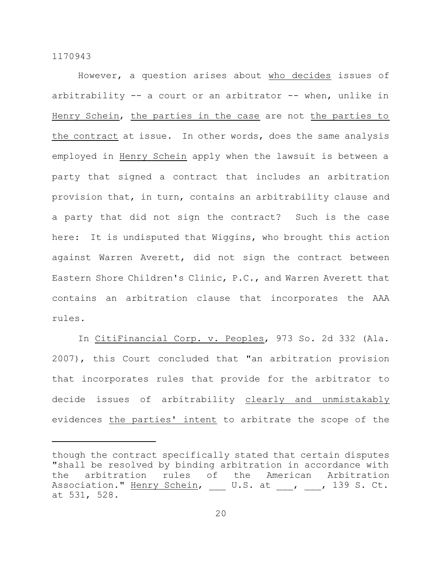However, a question arises about who decides issues of arbitrability  $-$  a court or an arbitrator  $-$ - when, unlike in Henry Schein, the parties in the case are not the parties to the contract at issue. In other words, does the same analysis employed in Henry Schein apply when the lawsuit is between a party that signed a contract that includes an arbitration provision that, in turn, contains an arbitrability clause and a party that did not sign the contract? Such is the case here: It is undisputed that Wiggins, who brought this action against Warren Averett, did not sign the contract between Eastern Shore Children's Clinic, P.C., and Warren Averett that contains an arbitration clause that incorporates the AAA rules.

In CitiFinancial Corp. v. Peoples, 973 So. 2d 332 (Ala. 2007), this Court concluded that "an arbitration provision that incorporates rules that provide for the arbitrator to decide issues of arbitrability clearly and unmistakably evidences the parties' intent to arbitrate the scope of the

though the contract specifically stated that certain disputes "shall be resolved by binding arbitration in accordance with the arbitration rules of the American Arbitration Association." Henry Schein, \_\_\_ U.S. at \_\_\_, \_\_\_, 139 S. Ct. at 531, 528.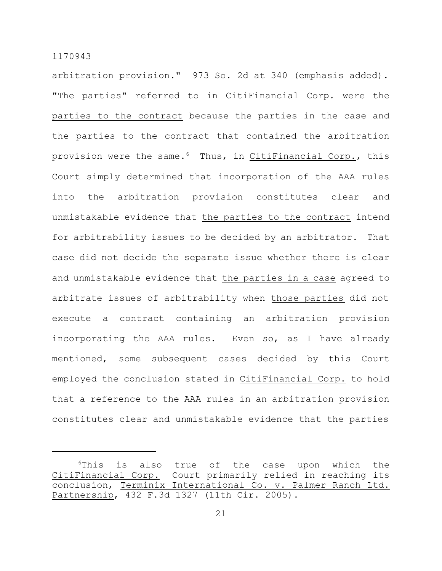arbitration provision." 973 So. 2d at 340 (emphasis added). "The parties" referred to in CitiFinancial Corp. were the parties to the contract because the parties in the case and the parties to the contract that contained the arbitration provision were the same.<sup>6</sup> Thus, in CitiFinancial Corp., this Court simply determined that incorporation of the AAA rules into the arbitration provision constitutes clear and unmistakable evidence that the parties to the contract intend for arbitrability issues to be decided by an arbitrator. That case did not decide the separate issue whether there is clear and unmistakable evidence that the parties in a case agreed to arbitrate issues of arbitrability when those parties did not execute a contract containing an arbitration provision incorporating the AAA rules. Even so, as I have already mentioned, some subsequent cases decided by this Court employed the conclusion stated in CitiFinancial Corp. to hold that a reference to the AAA rules in an arbitration provision constitutes clear and unmistakable evidence that the parties

<sup>&</sup>lt;sup>6</sup>This is also true of the case upon which the CitiFinancial Corp. Court primarily relied in reaching its conclusion, Terminix International Co. v. Palmer Ranch Ltd. Partnership, 432 F.3d 1327 (11th Cir. 2005).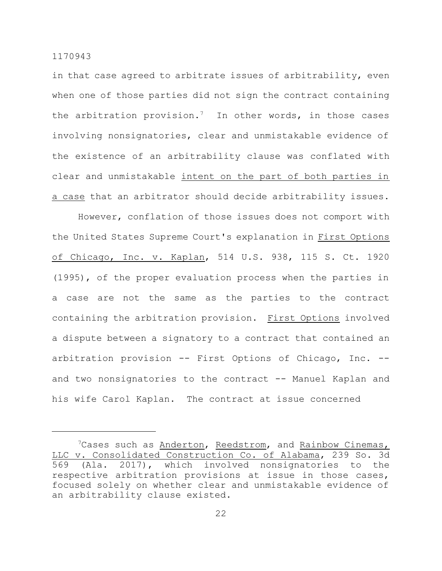in that case agreed to arbitrate issues of arbitrability, even when one of those parties did not sign the contract containing the arbitration provision.<sup>7</sup> In other words, in those cases involving nonsignatories, clear and unmistakable evidence of the existence of an arbitrability clause was conflated with clear and unmistakable intent on the part of both parties in a case that an arbitrator should decide arbitrability issues.

However, conflation of those issues does not comport with the United States Supreme Court's explanation in First Options of Chicago, Inc. v. Kaplan, 514 U.S. 938, 115 S. Ct. 1920 (1995), of the proper evaluation process when the parties in a case are not the same as the parties to the contract containing the arbitration provision. First Options involved a dispute between a signatory to a contract that contained an arbitration provision -- First Options of Chicago, Inc. - and two nonsignatories to the contract -- Manuel Kaplan and his wife Carol Kaplan. The contract at issue concerned

<sup>&</sup>lt;sup>7</sup>Cases such as Anderton, Reedstrom, and Rainbow Cinemas, LLC v. Consolidated Construction Co. of Alabama, 239 So. 3d 569 (Ala. 2017), which involved nonsignatories to the respective arbitration provisions at issue in those cases, focused solely on whether clear and unmistakable evidence of an arbitrability clause existed.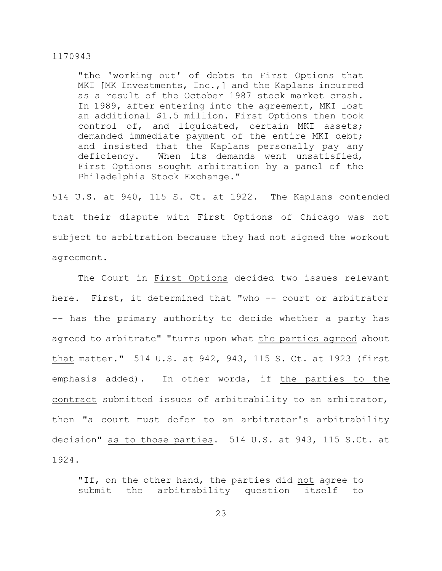"the 'working out' of debts to First Options that MKI [MK Investments, Inc., ] and the Kaplans incurred as a result of the October 1987 stock market crash. In 1989, after entering into the agreement, MKI lost an additional \$1.5 million. First Options then took control of, and liquidated, certain MKI assets; demanded immediate payment of the entire MKI debt; and insisted that the Kaplans personally pay any deficiency. When its demands went unsatisfied, First Options sought arbitration by a panel of the Philadelphia Stock Exchange."

514 U.S. at 940, 115 S. Ct. at 1922. The Kaplans contended that their dispute with First Options of Chicago was not subject to arbitration because they had not signed the workout agreement.

The Court in First Options decided two issues relevant here. First, it determined that "who -- court or arbitrator -- has the primary authority to decide whether a party has agreed to arbitrate" "turns upon what the parties agreed about that matter." 514 U.S. at 942, 943, 115 S. Ct. at 1923 (first emphasis added). In other words, if the parties to the contract submitted issues of arbitrability to an arbitrator, then "a court must defer to an arbitrator's arbitrability decision" as to those parties. 514 U.S. at 943, 115 S.Ct. at 1924.

"If, on the other hand, the parties did not agree to submit the arbitrability question itself to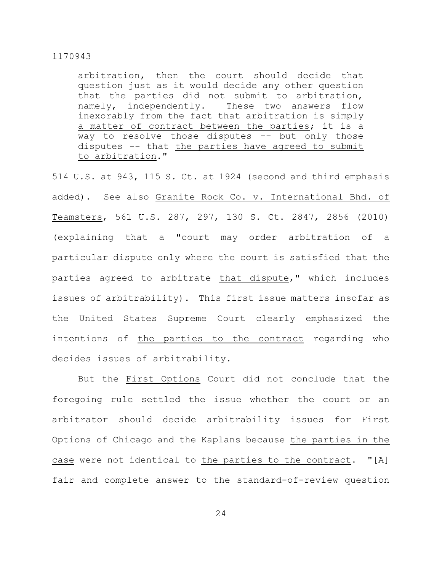arbitration, then the court should decide that question just as it would decide any other question that the parties did not submit to arbitration, namely, independently. These two answers flow inexorably from the fact that arbitration is simply a matter of contract between the parties; it is a way to resolve those disputes -- but only those disputes -- that the parties have agreed to submit to arbitration."

514 U.S. at 943, 115 S. Ct. at 1924 (second and third emphasis added). See also Granite Rock Co. v. International Bhd. of Teamsters, 561 U.S. 287, 297, 130 S. Ct. 2847, 2856 (2010) (explaining that a "court may order arbitration of a particular dispute only where the court is satisfied that the parties agreed to arbitrate that dispute," which includes issues of arbitrability). This first issue matters insofar as the United States Supreme Court clearly emphasized the intentions of the parties to the contract regarding who decides issues of arbitrability.

But the First Options Court did not conclude that the foregoing rule settled the issue whether the court or an arbitrator should decide arbitrability issues for First Options of Chicago and the Kaplans because the parties in the case were not identical to the parties to the contract. "[A] fair and complete answer to the standard-of-review question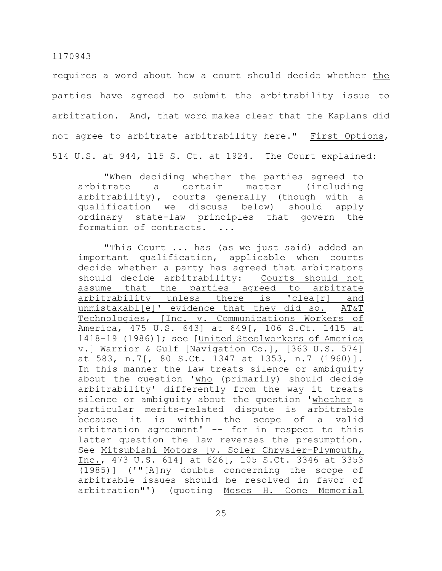requires a word about how a court should decide whether the parties have agreed to submit the arbitrability issue to arbitration. And, that word makes clear that the Kaplans did not agree to arbitrate arbitrability here." First Options, 514 U.S. at 944, 115 S. Ct. at 1924. The Court explained:

"When deciding whether the parties agreed to arbitrate a certain matter (including arbitrability), courts generally (though with a qualification we discuss below) should apply ordinary state-law principles that govern the formation of contracts. ...

"This Court ... has (as we just said) added an important qualification, applicable when courts decide whether a party has agreed that arbitrators should decide arbitrability: Courts should not assume that the parties agreed to arbitrate arbitrability unless there is 'clea[r] and unmistakabl[e]' evidence that they did so. AT&T Technologies, [Inc. v. Communications Workers of America, 475 U.S. 643] at 649[, 106 S.Ct. 1415 at 1418–19 (1986)]; see [United Steelworkers of America v.] Warrior & Gulf [Navigation Co.], [363 U.S. 574] at 583, n.7[, 80 S.Ct. 1347 at 1353, n.7 (1960)]. In this manner the law treats silence or ambiguity about the question 'who (primarily) should decide arbitrability' differently from the way it treats silence or ambiguity about the question 'whether a particular merits-related dispute is arbitrable because it is within the scope of a valid arbitration agreement' -- for in respect to this latter question the law reverses the presumption. See Mitsubishi Motors [v. Soler Chrysler-Plymouth, Inc., 473 U.S. 614] at 626[, 105 S.Ct. 3346 at 3353 (1985)] ('"[A]ny doubts concerning the scope of arbitrable issues should be resolved in favor of arbitration"') (quoting Moses H. Cone Memorial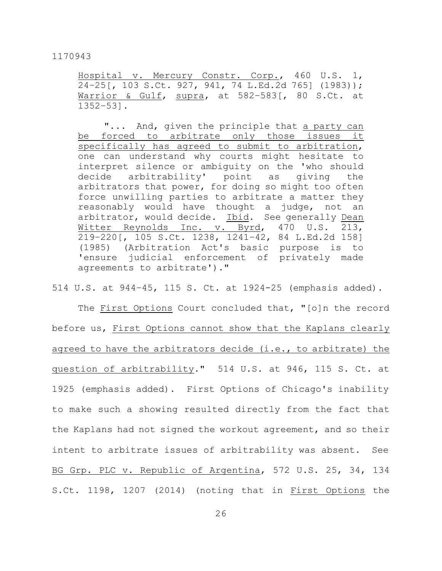Hospital v. Mercury Constr. Corp., 460 U.S. 1, 24–25[, 103 S.Ct. 927, 941, 74 L.Ed.2d 765] (1983)); Warrior & Gulf, supra, at 582-583<sup>[</sup>, 80 S.Ct. at 1352–53].

"... And, given the principle that a party can be forced to arbitrate only those issues it specifically has agreed to submit to arbitration, one can understand why courts might hesitate to interpret silence or ambiguity on the 'who should decide arbitrability' point as giving the arbitrators that power, for doing so might too often force unwilling parties to arbitrate a matter they reasonably would have thought a judge, not an arbitrator, would decide. Ibid. See generally Dean Witter Reynolds Inc. v. Byrd, 470 U.S. 213, 219–220[, 105 S.Ct. 1238, 1241–42, 84 L.Ed.2d 158] (1985) (Arbitration Act's basic purpose is to 'ensure judicial enforcement of privately made agreements to arbitrate')."

514 U.S. at 944–45, 115 S. Ct. at 1924-25 (emphasis added).

The First Options Court concluded that, "[o]n the record before us, First Options cannot show that the Kaplans clearly agreed to have the arbitrators decide (i.e., to arbitrate) the question of arbitrability." 514 U.S. at 946, 115 S. Ct. at 1925 (emphasis added). First Options of Chicago's inability to make such a showing resulted directly from the fact that the Kaplans had not signed the workout agreement, and so their intent to arbitrate issues of arbitrability was absent. See BG Grp. PLC v. Republic of Argentina, 572 U.S. 25, 34, 134 S.Ct. 1198, 1207 (2014) (noting that in First Options the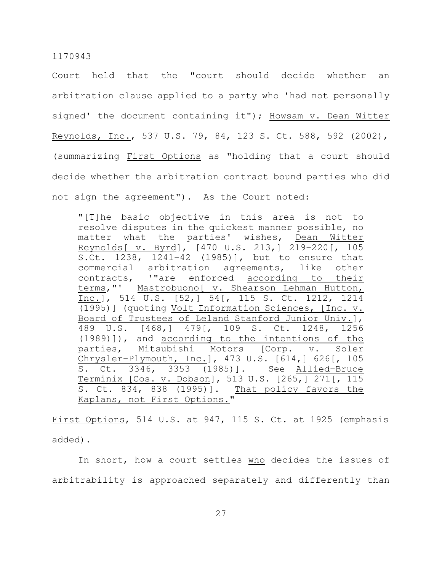Court held that the "court should decide whether an arbitration clause applied to a party who 'had not personally signed' the document containing it"); Howsam v. Dean Witter Reynolds, Inc., 537 U.S. 79, 84, 123 S. Ct. 588, 592 (2002), (summarizing First Options as "holding that a court should decide whether the arbitration contract bound parties who did not sign the agreement"). As the Court noted:

"[T]he basic objective in this area is not to resolve disputes in the quickest manner possible, no matter what the parties' wishes, Dean Witter Reynolds[ v. Byrd], [470 U.S. 213,] 219–220[, 105 S.Ct. 1238, 1241–42 (1985)], but to ensure that commercial arbitration agreements, like other contracts, '"are enforced according to their terms,"' Mastrobuono[ v. Shearson Lehman Hutton, Inc.], 514 U.S. [52,] 54[, 115 S. Ct. 1212, 1214 (1995)] (quoting Volt Information Sciences, [Inc. v. Board of Trustees of Leland Stanford Junior Univ.], 489 U.S. [468,] 479[, 109 S. Ct. 1248, 1256 (1989)]), and according to the intentions of the parties, Mitsubishi Motors [Corp. v. Soler Chrysler–Plymouth, Inc.], 473 U.S. [614,] 626[, 105 S. Ct. 3346, 3353 (1985)]. See Allied–Bruce Terminix [Cos. v. Dobson], 513 U.S. [265,] 271[, 115 S. Ct. 834, 838 (1995)]. That policy favors the Kaplans, not First Options."

First Options, 514 U.S. at 947, 115 S. Ct. at 1925 (emphasis added).

In short, how a court settles who decides the issues of arbitrability is approached separately and differently than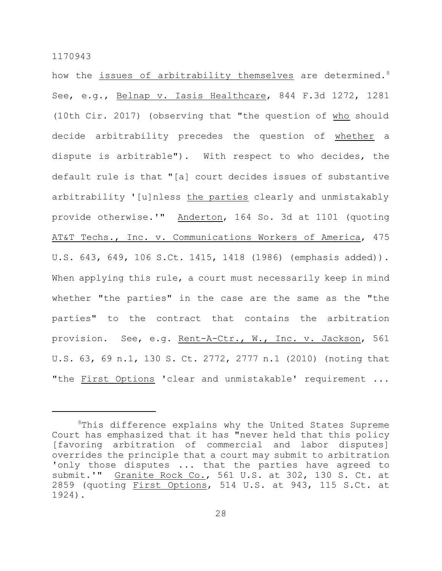how the issues of arbitrability themselves are determined.<sup>8</sup> See, e.g., Belnap v. Iasis Healthcare, 844 F.3d 1272, 1281 (10th Cir. 2017) (observing that "the question of who should decide arbitrability precedes the question of whether a dispute is arbitrable"). With respect to who decides, the default rule is that "[a] court decides issues of substantive arbitrability '[u]nless the parties clearly and unmistakably provide otherwise.'" Anderton, 164 So. 3d at 1101 (quoting AT&T Techs., Inc. v. Communications Workers of America, 475 U.S. 643, 649, 106 S.Ct. 1415, 1418 (1986) (emphasis added)). When applying this rule, a court must necessarily keep in mind whether "the parties" in the case are the same as the "the parties" to the contract that contains the arbitration provision. See, e.g. Rent-A-Ctr., W., Inc. v. Jackson, 561 U.S. 63, 69 n.1, 130 S. Ct. 2772, 2777 n.1 (2010) (noting that "the First Options 'clear and unmistakable' requirement ...

<sup>&</sup>lt;sup>8</sup>This difference explains why the United States Supreme Court has emphasized that it has "never held that this policy [favoring arbitration of commercial and labor disputes] overrides the principle that a court may submit to arbitration 'only those disputes ... that the parties have agreed to submit.'" Granite Rock Co., 561 U.S. at 302, 130 S. Ct. at 2859 (quoting First Options, 514 U.S. at 943, 115 S.Ct. at 1924).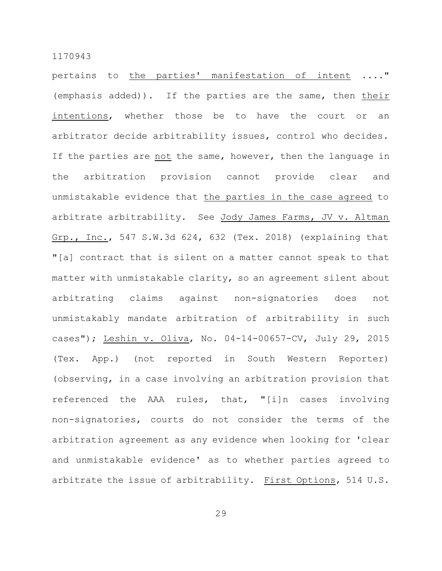pertains to the parties' manifestation of intent ...." (emphasis added)). If the parties are the same, then their intentions, whether those be to have the court or an arbitrator decide arbitrability issues, control who decides. If the parties are not the same, however, then the language in the arbitration provision cannot provide clear and unmistakable evidence that the parties in the case agreed to arbitrate arbitrability. See Jody James Farms, JV v. Altman Grp., Inc., 547 S.W.3d 624, 632 (Tex. 2018) (explaining that "[a] contract that is silent on a matter cannot speak to that matter with unmistakable clarity, so an agreement silent about arbitrating claims against non-signatories does not unmistakably mandate arbitration of arbitrability in such cases"); Leshin v. Oliva, No. 04-14-00657-CV, July 29, 2015 (Tex. App.) (not reported in South Western Reporter) (observing, in a case involving an arbitration provision that referenced the AAA rules, that, "[i]n cases involving non-signatories, courts do not consider the terms of the arbitration agreement as any evidence when looking for 'clear and unmistakable evidence' as to whether parties agreed to arbitrate the issue of arbitrability. First Options, 514 U.S.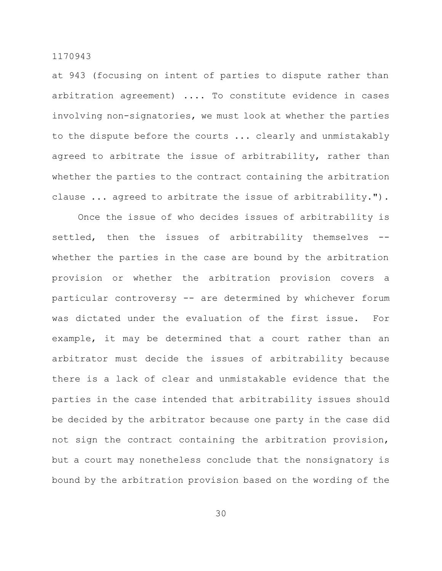at 943 (focusing on intent of parties to dispute rather than arbitration agreement) .... To constitute evidence in cases involving non-signatories, we must look at whether the parties to the dispute before the courts ... clearly and unmistakably agreed to arbitrate the issue of arbitrability, rather than whether the parties to the contract containing the arbitration clause ... agreed to arbitrate the issue of arbitrability.").

Once the issue of who decides issues of arbitrability is settled, then the issues of arbitrability themselves -whether the parties in the case are bound by the arbitration provision or whether the arbitration provision covers a particular controversy -- are determined by whichever forum was dictated under the evaluation of the first issue. For example, it may be determined that a court rather than an arbitrator must decide the issues of arbitrability because there is a lack of clear and unmistakable evidence that the parties in the case intended that arbitrability issues should be decided by the arbitrator because one party in the case did not sign the contract containing the arbitration provision, but a court may nonetheless conclude that the nonsignatory is bound by the arbitration provision based on the wording of the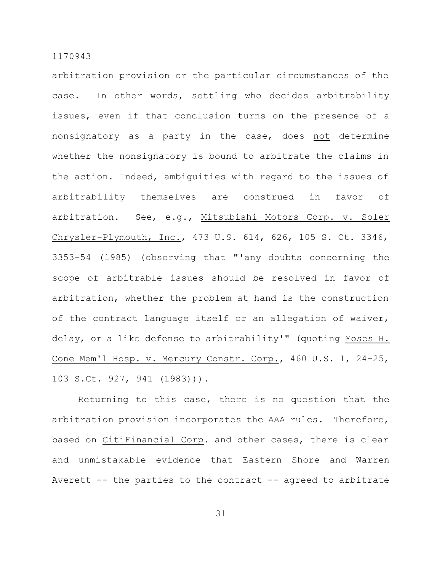arbitration provision or the particular circumstances of the case. In other words, settling who decides arbitrability issues, even if that conclusion turns on the presence of a nonsignatory as a party in the case, does not determine whether the nonsignatory is bound to arbitrate the claims in the action. Indeed, ambiguities with regard to the issues of arbitrability themselves are construed in favor of arbitration. See, e.g., Mitsubishi Motors Corp. v. Soler Chrysler-Plymouth, Inc., 473 U.S. 614, 626, 105 S. Ct. 3346, 3353–54 (1985) (observing that "'any doubts concerning the scope of arbitrable issues should be resolved in favor of arbitration, whether the problem at hand is the construction of the contract language itself or an allegation of waiver, delay, or a like defense to arbitrability'" (quoting Moses H. Cone Mem'l Hosp. v. Mercury Constr. Corp., 460 U.S. 1, 24–25, 103 S.Ct. 927, 941 (1983))).

Returning to this case, there is no question that the arbitration provision incorporates the AAA rules. Therefore, based on CitiFinancial Corp. and other cases, there is clear and unmistakable evidence that Eastern Shore and Warren Averett -- the parties to the contract -- agreed to arbitrate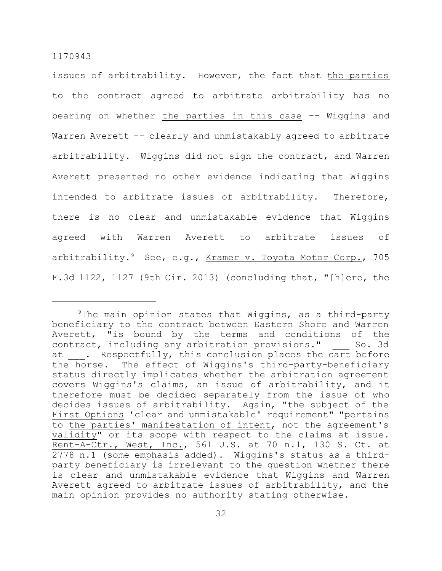issues of arbitrability. However, the fact that the parties to the contract agreed to arbitrate arbitrability has no bearing on whether the parties in this case -- Wiggins and Warren Averett -- clearly and unmistakably agreed to arbitrate arbitrability. Wiggins did not sign the contract, and Warren Averett presented no other evidence indicating that Wiggins intended to arbitrate issues of arbitrability. Therefore, there is no clear and unmistakable evidence that Wiggins agreed with Warren Averett to arbitrate issues of arbitrability.<sup>9</sup> See, e.g., <u>Kramer v. Toyota Motor Corp.</u>, 705 F.3d 1122, 1127 (9th Cir. 2013) (concluding that, "[h]ere, the

 $9$ The main opinion states that Wiggins, as a third-party beneficiary to the contract between Eastern Shore and Warren Averett, "is bound by the terms and conditions of the contract, including any arbitration provisions." So. 3d at . Respectfully, this conclusion places the cart before the horse. The effect of Wiggins's third-party-beneficiary status directly implicates whether the arbitration agreement covers Wiggins's claims, an issue of arbitrability, and it therefore must be decided separately from the issue of who decides issues of arbitrability. Again, "the subject of the First Options 'clear and unmistakable' requirement" "pertains to the parties' manifestation of intent, not the agreement's validity" or its scope with respect to the claims at issue. Rent-A-Ctr., West, Inc., 561 U.S. at 70 n.1, 130 S. Ct. at 2778 n.1 (some emphasis added). Wiggins's status as a thirdparty beneficiary is irrelevant to the question whether there is clear and unmistakable evidence that Wiggins and Warren Averett agreed to arbitrate issues of arbitrability, and the main opinion provides no authority stating otherwise.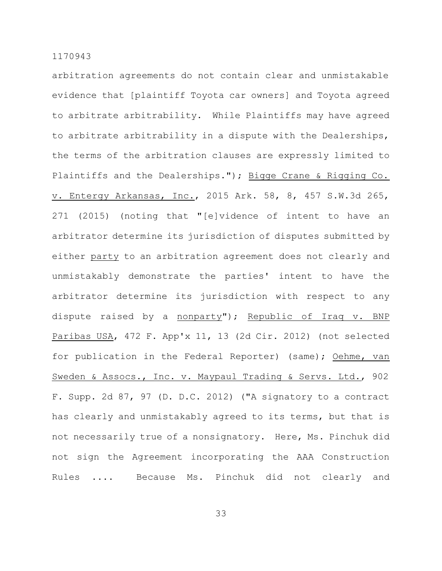arbitration agreements do not contain clear and unmistakable evidence that [plaintiff Toyota car owners] and Toyota agreed to arbitrate arbitrability. While Plaintiffs may have agreed to arbitrate arbitrability in a dispute with the Dealerships, the terms of the arbitration clauses are expressly limited to Plaintiffs and the Dealerships."); Bigge Crane & Rigging Co. v. Entergy Arkansas, Inc., 2015 Ark. 58, 8, 457 S.W.3d 265, 271 (2015) (noting that "[e]vidence of intent to have an arbitrator determine its jurisdiction of disputes submitted by either party to an arbitration agreement does not clearly and unmistakably demonstrate the parties' intent to have the arbitrator determine its jurisdiction with respect to any dispute raised by a nonparty"); Republic of Iraq v. BNP Paribas USA, 472 F. App'x 11, 13 (2d Cir. 2012) (not selected for publication in the Federal Reporter) (same); Oehme, van Sweden & Assocs., Inc. v. Maypaul Trading & Servs. Ltd., 902 F. Supp. 2d 87, 97 (D. D.C. 2012) ("A signatory to a contract has clearly and unmistakably agreed to its terms, but that is not necessarily true of a nonsignatory. Here, Ms. Pinchuk did not sign the Agreement incorporating the AAA Construction Rules .... Because Ms. Pinchuk did not clearly and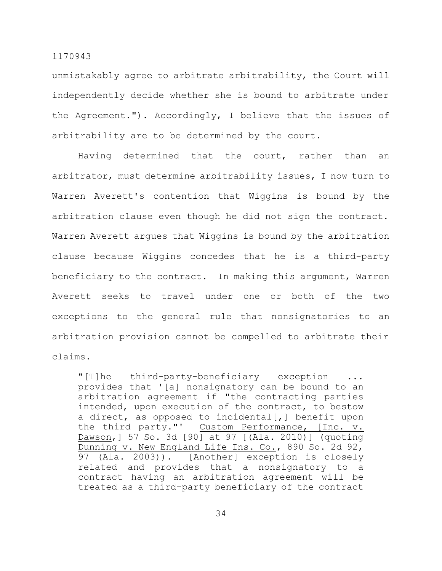unmistakably agree to arbitrate arbitrability, the Court will independently decide whether she is bound to arbitrate under the Agreement."). Accordingly, I believe that the issues of arbitrability are to be determined by the court.

Having determined that the court, rather than an arbitrator, must determine arbitrability issues, I now turn to Warren Averett's contention that Wiggins is bound by the arbitration clause even though he did not sign the contract. Warren Averett argues that Wiggins is bound by the arbitration clause because Wiggins concedes that he is a third-party beneficiary to the contract. In making this argument, Warren Averett seeks to travel under one or both of the two exceptions to the general rule that nonsignatories to an arbitration provision cannot be compelled to arbitrate their claims.

"[T]he third-party-beneficiary exception ... provides that '[a] nonsignatory can be bound to an arbitration agreement if "the contracting parties intended, upon execution of the contract, to bestow a direct, as opposed to incidental[,] benefit upon the third party."' Custom Performance, [Inc. v. Dawson,] 57 So. 3d [90] at 97 [(Ala. 2010)] (quoting Dunning v. New England Life Ins. Co., 890 So. 2d 92, 97 (Ala. 2003)). [Another] exception is closely related and provides that a nonsignatory to a contract having an arbitration agreement will be treated as a third-party beneficiary of the contract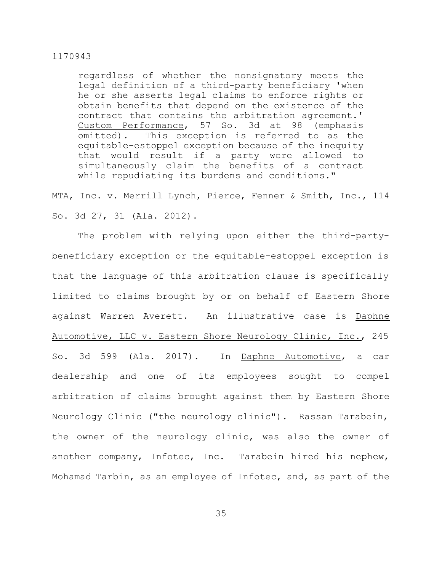regardless of whether the nonsignatory meets the legal definition of a third-party beneficiary 'when he or she asserts legal claims to enforce rights or obtain benefits that depend on the existence of the contract that contains the arbitration agreement.' Custom Performance, 57 So. 3d at 98 (emphasis omitted). This exception is referred to as the equitable-estoppel exception because of the inequity that would result if a party were allowed to simultaneously claim the benefits of a contract while repudiating its burdens and conditions."

# MTA, Inc. v. Merrill Lynch, Pierce, Fenner & Smith, Inc., 114

So. 3d 27, 31 (Ala. 2012).

The problem with relying upon either the third-partybeneficiary exception or the equitable-estoppel exception is that the language of this arbitration clause is specifically limited to claims brought by or on behalf of Eastern Shore against Warren Averett. An illustrative case is Daphne Automotive, LLC v. Eastern Shore Neurology Clinic, Inc., 245 So. 3d 599 (Ala. 2017). In Daphne Automotive, a car dealership and one of its employees sought to compel arbitration of claims brought against them by Eastern Shore Neurology Clinic ("the neurology clinic"). Rassan Tarabein, the owner of the neurology clinic, was also the owner of another company, Infotec, Inc. Tarabein hired his nephew, Mohamad Tarbin, as an employee of Infotec, and, as part of the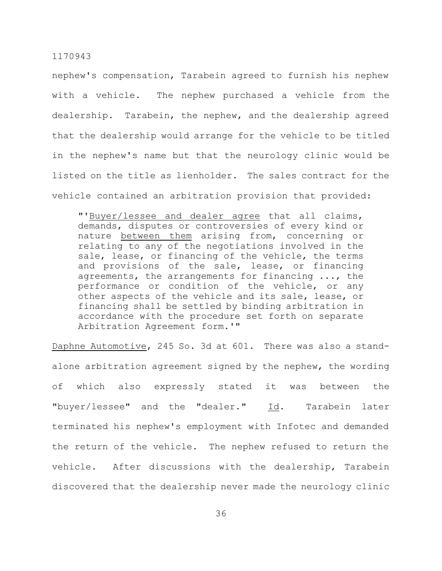nephew's compensation, Tarabein agreed to furnish his nephew with a vehicle. The nephew purchased a vehicle from the dealership. Tarabein, the nephew, and the dealership agreed that the dealership would arrange for the vehicle to be titled in the nephew's name but that the neurology clinic would be listed on the title as lienholder. The sales contract for the vehicle contained an arbitration provision that provided:

"'Buyer/lessee and dealer agree that all claims, demands, disputes or controversies of every kind or nature between them arising from, concerning or relating to any of the negotiations involved in the sale, lease, or financing of the vehicle, the terms and provisions of the sale, lease, or financing agreements, the arrangements for financing ..., the performance or condition of the vehicle, or any other aspects of the vehicle and its sale, lease, or financing shall be settled by binding arbitration in accordance with the procedure set forth on separate Arbitration Agreement form.'"

Daphne Automotive, 245 So. 3d at 601. There was also a standalone arbitration agreement signed by the nephew, the wording of which also expressly stated it was between the "buyer/lessee" and the "dealer." Id. Tarabein later terminated his nephew's employment with Infotec and demanded the return of the vehicle. The nephew refused to return the vehicle. After discussions with the dealership, Tarabein discovered that the dealership never made the neurology clinic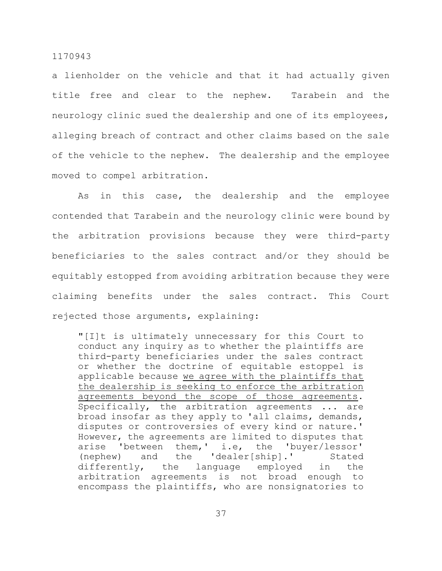a lienholder on the vehicle and that it had actually given title free and clear to the nephew. Tarabein and the neurology clinic sued the dealership and one of its employees, alleging breach of contract and other claims based on the sale of the vehicle to the nephew. The dealership and the employee moved to compel arbitration.

As in this case, the dealership and the employee contended that Tarabein and the neurology clinic were bound by the arbitration provisions because they were third-party beneficiaries to the sales contract and/or they should be equitably estopped from avoiding arbitration because they were claiming benefits under the sales contract. This Court rejected those arguments, explaining:

"[I]t is ultimately unnecessary for this Court to conduct any inquiry as to whether the plaintiffs are third-party beneficiaries under the sales contract or whether the doctrine of equitable estoppel is applicable because we agree with the plaintiffs that the dealership is seeking to enforce the arbitration agreements beyond the scope of those agreements. Specifically, the arbitration agreements ... are broad insofar as they apply to 'all claims, demands, disputes or controversies of every kind or nature.' However, the agreements are limited to disputes that arise 'between them,' i.e, the 'buyer/lessor' (nephew) and the 'dealer[ship].' Stated differently, the language employed in the arbitration agreements is not broad enough to encompass the plaintiffs, who are nonsignatories to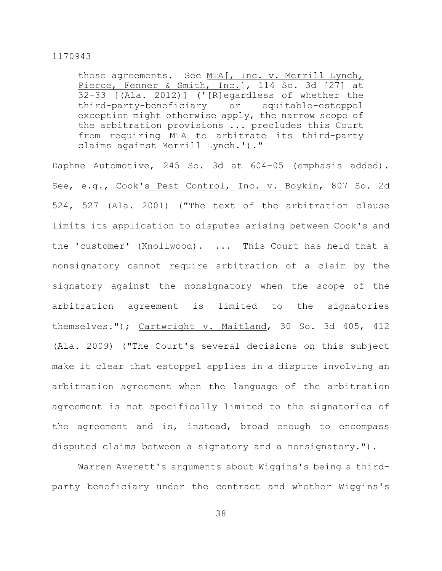those agreements. See MTA[, Inc. v. Merrill Lynch, Pierce, Fenner & Smith, Inc.], 114 So. 3d [27] at 32–33 [(Ala. 2012)] ('[R]egardless of whether the third-party-beneficiary or equitable-estoppel exception might otherwise apply, the narrow scope of the arbitration provisions ... precludes this Court from requiring MTA to arbitrate its third-party claims against Merrill Lynch.')."

Daphne Automotive, 245 So. 3d at 604–05 (emphasis added). See, e.g., Cook's Pest Control, Inc. v. Boykin, 807 So. 2d 524, 527 (Ala. 2001) ("The text of the arbitration clause limits its application to disputes arising between Cook's and the 'customer' (Knollwood). ... This Court has held that a nonsignatory cannot require arbitration of a claim by the signatory against the nonsignatory when the scope of the arbitration agreement is limited to the signatories themselves."); Cartwright v. Maitland, 30 So. 3d 405, 412 (Ala. 2009) ("The Court's several decisions on this subject make it clear that estoppel applies in a dispute involving an arbitration agreement when the language of the arbitration agreement is not specifically limited to the signatories of the agreement and is, instead, broad enough to encompass disputed claims between a signatory and a nonsignatory.").

Warren Averett's arguments about Wiggins's being a thirdparty beneficiary under the contract and whether Wiggins's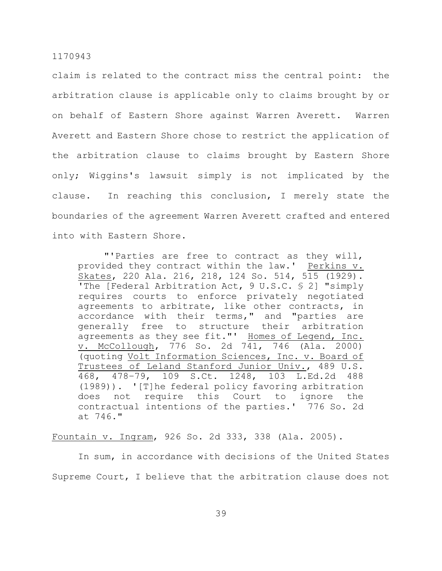claim is related to the contract miss the central point: the arbitration clause is applicable only to claims brought by or on behalf of Eastern Shore against Warren Averett. Warren Averett and Eastern Shore chose to restrict the application of the arbitration clause to claims brought by Eastern Shore only; Wiggins's lawsuit simply is not implicated by the clause. In reaching this conclusion, I merely state the boundaries of the agreement Warren Averett crafted and entered into with Eastern Shore.

"'Parties are free to contract as they will, provided they contract within the law.' Perkins v. Skates, 220 Ala. 216, 218, 124 So. 514, 515 (1929). 'The [Federal Arbitration Act, 9 U.S.C. § 2] "simply requires courts to enforce privately negotiated agreements to arbitrate, like other contracts, in accordance with their terms," and "parties are generally free to structure their arbitration agreements as they see fit."' Homes of Legend, Inc. v. McCollough, 776 So. 2d 741, 746 (Ala. 2000) (quoting Volt Information Sciences, Inc. v. Board of Trustees of Leland Stanford Junior Univ., 489 U.S. 468, 478–79, 109 S.Ct. 1248, 103 L.Ed.2d 488 (1989)). '[T]he federal policy favoring arbitration does not require this Court to ignore the contractual intentions of the parties.' 776 So. 2d at 746."

#### Fountain v. Ingram, 926 So. 2d 333, 338 (Ala. 2005).

In sum, in accordance with decisions of the United States Supreme Court, I believe that the arbitration clause does not